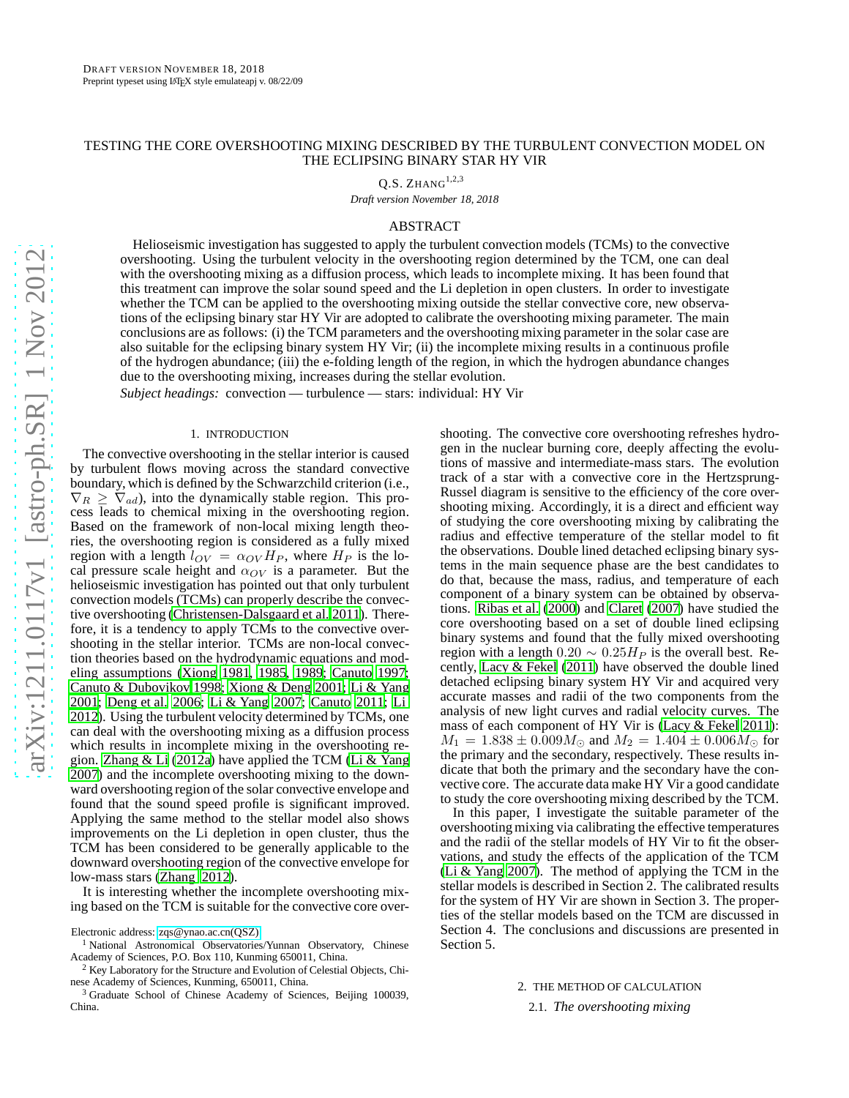# TESTING THE CORE OVERSHOOTING MIXING DESCRIBED BY THE TURBULENT CONVECTION MODEL ON THE ECLIPSING BINARY STAR HY VIR

 $Q.S.$  ZHANG $^{1,2,3}$ 

*Draft version November 18, 2018*

# ABSTRACT

Helioseismic investigation has suggested to apply the turbulent convection models (TCMs) to the convective overshooting. Using the turbulent velocity in the overshooting region determined by the TCM, one can deal with the overshooting mixing as a diffusion process, which leads to incomplete mixing. It has been found that this treatment can improve the solar sound speed and the Li depletion in open clusters. In order to investigate whether the TCM can be applied to the overshooting mixing outside the stellar convective core, new observations of the eclipsing binary star HY Vir are adopted to calibrate the overshooting mixing parameter. The main conclusions are as follows: (i) the TCM parameters and the overshooting mixing parameter in the solar case are also suitable for the eclipsing binary system HY Vir; (ii) the incomplete mixing results in a continuous profile of the hydrogen abundance; (iii) the e-folding length of the region, in which the hydrogen abundance changes due to the overshooting mixing, increases during the stellar evolution.

*Subject headings:* convection — turbulence — stars: individual: HY Vir

### 1. INTRODUCTION

The convective overshooting in the stellar interior is caused by turbulent flows moving across the standard convective boundary, which is defined by the Schwarzchild criterion (i.e.,  $\nabla_R \geq \nabla_{ad}$ , into the dynamically stable region. This process leads to chemical mixing in the overshooting region. Based on the framework of non-local mixing length theories, the overshooting region is considered as a fully mixed region with a length  $l_{OV} = \alpha_{OV} H_P$ , where  $H_P$  is the local pressure scale height and  $\alpha_{OV}$  is a parameter. But the helioseismic investigation has pointed out that only turbulent convection models (TCMs) can properly describe the convective overshooting [\(Christensen-Dalsgaard et al. 2011\)](#page-7-0). Therefore, it is a tendency to apply TCMs to the convective overshooting in the stellar interior. TCMs are non-local convection theories based on the hydrodynamic equations and modeling assumptions [\(Xiong 1981,](#page-8-0) [1985,](#page-8-1) [1989;](#page-8-2) [Canuto 1997;](#page-7-1) [Canuto & Dubovikov 1998;](#page-7-2) [Xiong & Deng 2001](#page-8-3); [Li & Yang](#page-7-3) [2001;](#page-7-3) [Deng et al. 2006;](#page-7-4) [Li & Yang 2007;](#page-7-5) [Canuto 2011;](#page-7-6) [Li](#page-7-7) [2012\)](#page-7-7). Using the turbulent velocity determined by TCMs, one can deal with the overshooting mixing as a diffusion process which results in incomplete mixing in the overshooting region. [Zhang & Li \(2012a\)](#page-8-4) have applied the TCM [\(Li & Yang](#page-7-5) [2007\)](#page-7-5) and the incomplete overshooting mixing to the downward overshooting region of the solar convective envelope and found that the sound speed profile is significant improved. Applying the same method to the stellar model also shows improvements on the Li depletion in open cluster, thus the TCM has been considered to be generally applicable to the downward overshooting region of the convective envelope for low-mass stars [\(Zhang 2012\)](#page-8-5).

It is interesting whether the incomplete overshooting mixing based on the TCM is suitable for the convective core over-

shooting. The convective core overshooting refreshes hydrogen in the nuclear burning core, deeply affecting the evolutions of massive and intermediate-mass stars. The evolution track of a star with a convective core in the Hertzsprung-Russel diagram is sensitive to the efficiency of the core overshooting mixing. Accordingly, it is a direct and efficient way of studying the core overshooting mixing by calibrating the radius and effective temperature of the stellar model to fit the observations. Double lined detached eclipsing binary systems in the main sequence phase are the best candidates to do that, because the mass, radius, and temperature of each component of a binary system can be obtained by observations. [Ribas et al. \(2000\)](#page-8-6) and [Claret \(2007\)](#page-7-8) have studied the core overshooting based on a set of double lined eclipsing binary systems and found that the fully mixed overshooting region with a length  $0.20 \sim 0.25 H<sub>P</sub>$  is the overall best. Recently, [Lacy & Fekel](#page-7-9) [\(2011\)](#page-7-9) have observed the double lined detached eclipsing binary system HY Vir and acquired very accurate masses and radii of the two components from the analysis of new light curves and radial velocity curves. The mass of each component of HY Vir is [\(Lacy & Fekel 2011\)](#page-7-9):  $M_1 = 1.838 \pm 0.009 M_{\odot}$  and  $M_2 = 1.404 \pm 0.006 M_{\odot}$  for the primary and the secondary, respectively. These results indicate that both the primary and the secondary have the convective core. The accurate data make HY Vir a good candidate to study the core overshooting mixing described by the TCM.

In this paper, I investigate the suitable parameter of the overshooting mixing via calibrating the effective temperatures and the radii of the stellar models of HY Vir to fit the observations, and study the effects of the application of the TCM [\(Li & Yang 2007](#page-7-5)). The method of applying the TCM in the stellar models is described in Section 2. The calibrated results for the system of HY Vir are shown in Section 3. The properties of the stellar models based on the TCM are discussed in Section 4. The conclusions and discussions are presented in Section 5.

### 2. THE METHOD OF CALCULATION

2.1. *The overshooting mixing*

Electronic address: [zqs@ynao.ac.cn\(QSZ\)](mailto:zqs@ynao.ac.cn(QSZ))

<sup>&</sup>lt;sup>1</sup> National Astronomical Observatories/Yunnan Observatory, Chinese Academy of Sciences, P.O. Box 110, Kunming 650011, China.

 $2$  Key Laboratory for the Structure and Evolution of Celestial Objects, Chinese Academy of Sciences, Kunming, 650011, China.

<sup>&</sup>lt;sup>3</sup> Graduate School of Chinese Academy of Sciences, Beijing 100039, China.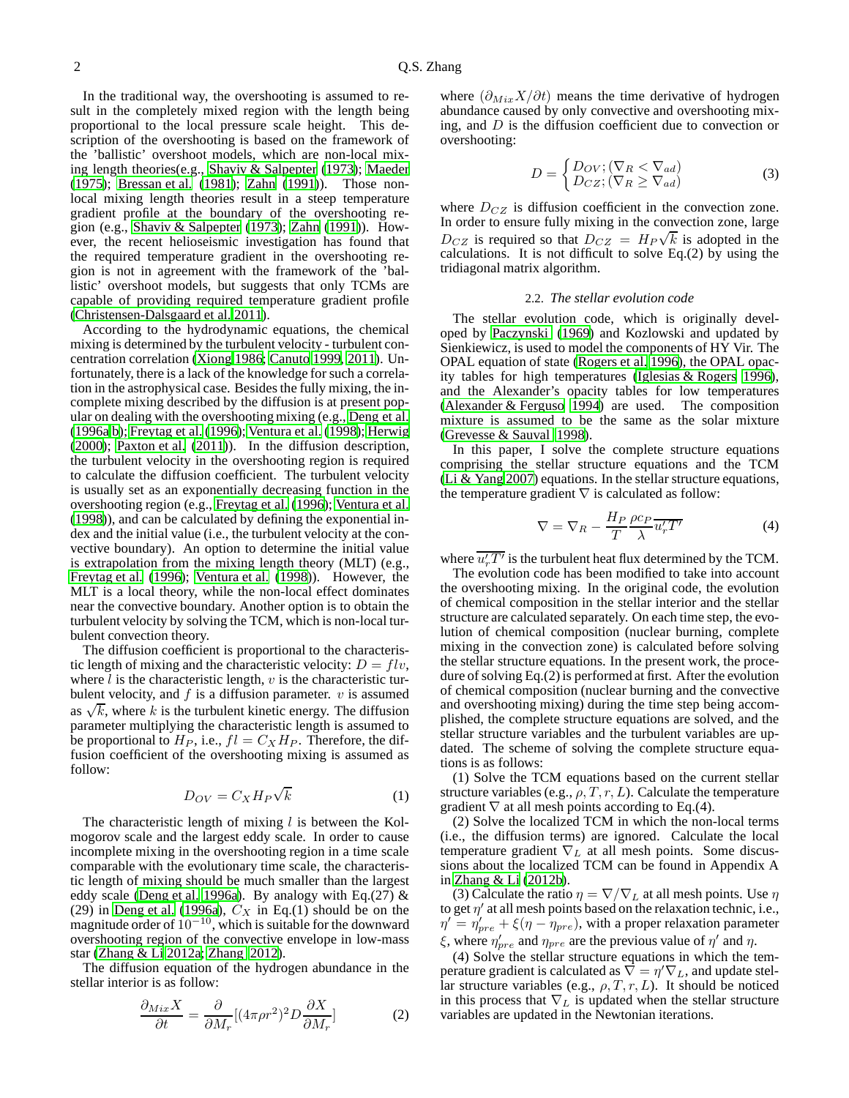In the traditional way, the overshooting is assumed to result in the completely mixed region with the length being proportional to the local pressure scale height. This description of the overshooting is based on the framework of the 'ballistic' overshoot models, which are non-local mixing length theories(e.g., [Shaviv & Salpepter \(1973](#page-8-7)); [Maeder](#page-7-10) [\(1975](#page-7-10)); [Bressan et al. \(1981](#page-7-11)); [Zahn \(1991](#page-8-8))). Those nonlocal mixing length theories result in a steep temperature gradient profile at the boundary of the overshooting region (e.g., [Shaviv & Salpepter \(1973\)](#page-8-7); [Zahn \(1991\)](#page-8-8)). However, the recent helioseismic investigation has found that the required temperature gradient in the overshooting region is not in agreement with the framework of the 'ballistic' overshoot models, but suggests that only TCMs are capable of providing required temperature gradient profile [\(Christensen-Dalsgaard et al. 2011](#page-7-0)).

According to the hydrodynamic equations, the chemical mixing is determined by the turbulent velocity - turbulent concentration correlation [\(Xiong 1986;](#page-8-9) [Canuto 1999,](#page-7-12) [2011\)](#page-7-6). Unfortunately, there is a lack of the knowledge for such a correlation in the astrophysical case. Besides the fully mixing, the incomplete mixing described by the diffusion is at present popular on dealing with the overshooting mixing (e.g., [Deng et al.](#page-7-13) [\(1996a](#page-7-13)[,b\)](#page-7-14); [Freytag et al. \(1996](#page-7-15)); [Ventura et al. \(1998\)](#page-8-10); [Herwig](#page-7-16) [\(2000](#page-7-16)); [Paxton et al. \(2011\)](#page-8-11)). In the diffusion description, the turbulent velocity in the overshooting region is required to calculate the diffusion coefficient. The turbulent velocity is usually set as an exponentially decreasing function in the overshooting region (e.g., [Freytag et al.](#page-7-15) [\(1996\)](#page-7-15); [Ventura et al.](#page-8-10) [\(1998](#page-8-10))), and can be calculated by defining the exponential index and the initial value (i.e., the turbulent velocity at the convective boundary). An option to determine the initial value is extrapolation from the mixing length theory (MLT) (e.g., [Freytag et al.](#page-7-15) [\(1996\)](#page-7-15); [Ventura et al.](#page-8-10) [\(1998\)](#page-8-10)). However, the MLT is a local theory, while the non-local effect dominates near the convective boundary. Another option is to obtain the turbulent velocity by solving the TCM, which is non-local turbulent convection theory.

The diffusion coefficient is proportional to the characteristic length of mixing and the characteristic velocity:  $D = flv$ , where  $l$  is the characteristic length,  $v$  is the characteristic turbulent velocity, and  $f$  is a diffusion parameter.  $v$  is assumed as  $\sqrt{k}$ , where k is the turbulent kinetic energy. The diffusion parameter multiplying the characteristic length is assumed to be proportional to  $H_P$ , i.e.,  $fl = C_X H_P$ . Therefore, the diffusion coefficient of the overshooting mixing is assumed as follow:

$$
D_{OV} = C_X H_P \sqrt{k} \tag{1}
$$

The characteristic length of mixing  $l$  is between the Kolmogorov scale and the largest eddy scale. In order to cause incomplete mixing in the overshooting region in a time scale comparable with the evolutionary time scale, the characteristic length of mixing should be much smaller than the largest eddy scale [\(Deng et al. 1996a](#page-7-13)). By analogy with Eq.(27)  $\&$ (29) in [Deng et al. \(1996a\)](#page-7-13),  $C_X$  in Eq.(1) should be on the magnitude order of  $10^{-10}$ , which is suitable for the downward overshooting region of the convective envelope in low-mass star [\(Zhang & Li 2012a;](#page-8-4) [Zhang 2012\)](#page-8-5).

The diffusion equation of the hydrogen abundance in the stellar interior is as follow:

$$
\frac{\partial_{Mix}X}{\partial t} = \frac{\partial}{\partial M_r} [(4\pi \rho r^2)^2 D \frac{\partial X}{\partial M_r}]
$$
 (2)

where  $(\partial_{Mix} X/\partial t)$  means the time derivative of hydrogen abundance caused by only convective and overshooting mixing, and  $D$  is the diffusion coefficient due to convection or overshooting:

$$
D = \begin{cases} D_{OV}; (\nabla_R < \nabla_{ad}) \\ D_{CZ}; (\nabla_R \ge \nabla_{ad}) \end{cases}
$$
 (3)

where  $D_{CZ}$  is diffusion coefficient in the convection zone. In order to ensure fully mixing in the convection zone, large  $D_{CZ}$  is required so that  $D_{CZ} = H_P \sqrt{k}$  is adopted in the calculations. It is not difficult to solve  $Eq.(2)$  by using the tridiagonal matrix algorithm.

### 2.2. *The stellar evolution code*

The stellar evolution code, which is originally developed by [Paczynski \(1969\)](#page-8-12) and Kozlowski and updated by Sienkiewicz, is used to model the components of HY Vir. The OPAL equation of state [\(Rogers et al. 1996](#page-8-13)), the OPAL opacity tables for high temperatures [\(Iglesias & Rogers 1996](#page-7-17)), and the Alexander's opacity tables for low temperatures [\(Alexander & Ferguso 1994\)](#page-7-18) are used. The composition mixture is assumed to be the same as the solar mixture [\(Grevesse & Sauval 1998\)](#page-7-19).

In this paper, I solve the complete structure equations comprising the stellar structure equations and the TCM [\(Li & Yang 2007\)](#page-7-5) equations. In the stellar structure equations, the temperature gradient  $\nabla$  is calculated as follow:

$$
\nabla = \nabla_R - \frac{H_P}{T} \frac{\rho c_P}{\lambda} \overline{u'_r T'}
$$
 (4)

where  $\overline{u'_rT'}$  is the turbulent heat flux determined by the TCM.

The evolution code has been modified to take into account the overshooting mixing. In the original code, the evolution of chemical composition in the stellar interior and the stellar structure are calculated separately. On each time step, the evolution of chemical composition (nuclear burning, complete mixing in the convection zone) is calculated before solving the stellar structure equations. In the present work, the procedure of solving Eq.(2) is performed at first. After the evolution of chemical composition (nuclear burning and the convective and overshooting mixing) during the time step being accomplished, the complete structure equations are solved, and the stellar structure variables and the turbulent variables are updated. The scheme of solving the complete structure equations is as follows:

(1) Solve the TCM equations based on the current stellar structure variables (e.g.,  $\rho$ , T, r, L). Calculate the temperature gradient  $\nabla$  at all mesh points according to Eq.(4).

(2) Solve the localized TCM in which the non-local terms (i.e., the diffusion terms) are ignored. Calculate the local temperature gradient  $\nabla_L$  at all mesh points. Some discussions about the localized TCM can be found in Appendix A in [Zhang & Li](#page-8-14) [\(2012b\)](#page-8-14).

(3) Calculate the ratio  $\eta = \nabla / \nabla_L$  at all mesh points. Use  $\eta$ to get  $\eta'$  at all mesh points based on the relaxation technic, i.e.,  $\eta' = \eta'_{pre} + \xi(\eta - \eta_{pre})$ , with a proper relaxation parameter ξ, where  $η'_{pre}$  and  $η_{pre}$  are the previous value of  $η'$  and  $η$ .

(4) Solve the stellar structure equations in which the temperature gradient is calculated as  $\nabla = \eta' \nabla_L$ , and update stellar structure variables (e.g.,  $\rho, T, r, L$ ). It should be noticed in this process that  $\nabla_L$  is updated when the stellar structure variables are updated in the Newtonian iterations.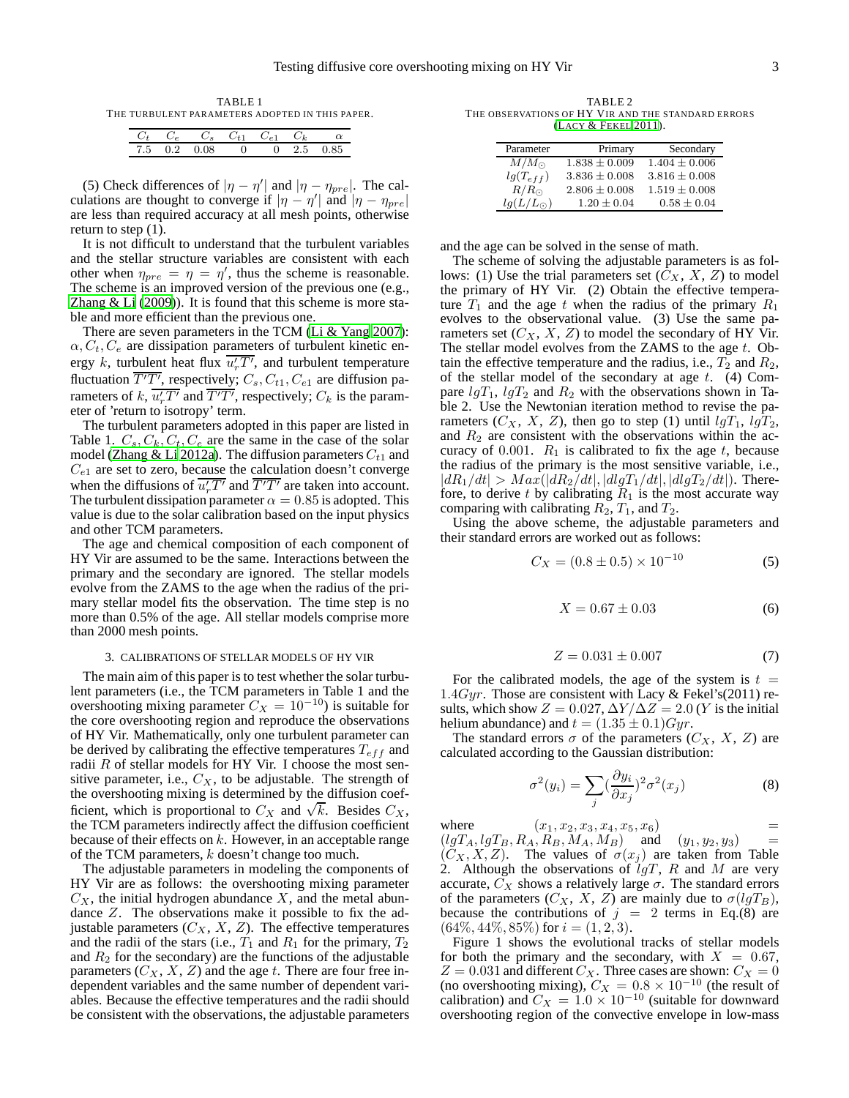TABLE 1 THE TURBULENT PARAMETERS ADOPTED IN THIS PAPER.

|  | $C_t$ $C_e$ $C_s$ $C_{t1}$ $C_{e1}$ $C_k$ |  | $\alpha$   |
|--|-------------------------------------------|--|------------|
|  | 7.5 0.2 0.08 0                            |  | 0 2.5 0.85 |

(5) Check differences of  $|\eta - \eta'|$  and  $|\eta - \eta_{pre}|$ . The calculations are thought to converge if  $|\eta - \eta'|$  and  $|\eta - \eta_{pre}|$ are less than required accuracy at all mesh points, otherwise return to step (1).

It is not difficult to understand that the turbulent variables and the stellar structure variables are consistent with each other when  $\eta_{pre} = \eta = \eta'$ , thus the scheme is reasonable. The scheme is an improved version of the previous one (e.g., Zhang  $&$  Li (2009)). It is found that this scheme is more stable and more efficient than the previous one.

There are seven parameters in the TCM [\(Li & Yang 2007\)](#page-7-5):  $\alpha$ ,  $C_t$ ,  $C_e$  are dissipation parameters of turbulent kinetic energy k, turbulent heat flux  $\overline{u'_rT'}$ , and turbulent temperature fluctuation  $\overline{T'T'}$ , respectively;  $C_s$ ,  $C_{t1}$ ,  $C_{e1}$  are diffusion parameters of  $k$ ,  $\overline{u'_rT'}$  and  $\overline{T'T'}$ , respectively;  $C_k$  is the parameter of 'return to isotropy' term.

The turbulent parameters adopted in this paper are listed in Table 1.  $C_s$ ,  $C_k$ ,  $C_t$ ,  $C_e$  are the same in the case of the solar model [\(Zhang & Li 2012a\)](#page-8-4). The diffusion parameters  $C_{t1}$  and  $C_{e1}$  are set to zero, because the calculation doesn't converge when the diffusions of  $\overline{u'_rT'}$  and  $\overline{T'T'}$  are taken into account. The turbulent dissipation parameter  $\alpha = 0.85$  is adopted. This value is due to the solar calibration based on the input physics and other TCM parameters.

The age and chemical composition of each component of HY Vir are assumed to be the same. Interactions between the primary and the secondary are ignored. The stellar models evolve from the ZAMS to the age when the radius of the primary stellar model fits the observation. The time step is no more than 0.5% of the age. All stellar models comprise more than 2000 mesh points.

### 3. CALIBRATIONS OF STELLAR MODELS OF HY VIR

The main aim of this paper is to test whether the solar turbulent parameters (i.e., the TCM parameters in Table 1 and the overshooting mixing parameter  $C_X = 10^{-10}$ ) is suitable for the core overshooting region and reproduce the observations of HY Vir. Mathematically, only one turbulent parameter can be derived by calibrating the effective temperatures  $T_{eff}$  and radii  $R$  of stellar models for HY Vir. I choose the most sensitive parameter, i.e.,  $C_X$ , to be adjustable. The strength of the overshooting mixing is determined by the diffusion coefficient, which is proportional to  $C_X$  and  $\sqrt{k}$ . Besides  $C_X$ , the TCM parameters indirectly affect the diffusion coefficient because of their effects on  $k$ . However, in an acceptable range of the TCM parameters, k doesn't change too much.

The adjustable parameters in modeling the components of HY Vir are as follows: the overshooting mixing parameter  $C_X$ , the initial hydrogen abundance  $X$ , and the metal abundance Z. The observations make it possible to fix the adjustable parameters  $(C_X, X, Z)$ . The effective temperatures and the radii of the stars (i.e.,  $T_1$  and  $R_1$  for the primary,  $T_2$ and  $R_2$  for the secondary) are the functions of the adjustable parameters  $(C_X, X, Z)$  and the age t. There are four free independent variables and the same number of dependent variables. Because the effective temperatures and the radii should be consistent with the observations, the adjustable parameters

TABLE 2 THE OBSERVATIONS OF HY VIR AND THE STANDARD ERRORS (LACY & F[EKEL](#page-7-9) [2011](#page-7-9)).

| Parameter         | Primary           | Secondary         |
|-------------------|-------------------|-------------------|
| $M/M_{\odot}$     | $1.838 \pm 0.009$ | $1.404 \pm 0.006$ |
| $lg(T_{eff})$     | $3.836 \pm 0.008$ | $3.816 \pm 0.008$ |
| $R/R_{\odot}$     | $2.806 \pm 0.008$ | $1.519 \pm 0.008$ |
| $lq(L/L_{\odot})$ | $1.20 \pm 0.04$   | $0.58 \pm 0.04$   |

and the age can be solved in the sense of math.

The scheme of solving the adjustable parameters is as follows: (1) Use the trial parameters set  $(C_X, X, Z)$  to model the primary of HY Vir. (2) Obtain the effective temperature  $T_1$  and the age t when the radius of the primary  $R_1$ evolves to the observational value. (3) Use the same parameters set  $(C_X, X, Z)$  to model the secondary of HY Vir. The stellar model evolves from the ZAMS to the age  $t$ . Obtain the effective temperature and the radius, i.e.,  $T_2$  and  $R_2$ , of the stellar model of the secondary at age  $t$ . (4) Compare  $lgT_1$ ,  $lgT_2$  and  $R_2$  with the observations shown in Table 2. Use the Newtonian iteration method to revise the parameters  $(C_X, X, Z)$ , then go to step (1) until  $lqT_1$ ,  $lqT_2$ , and  $R_2$  are consistent with the observations within the accuracy of 0.001.  $R_1$  is calibrated to fix the age t, because the radius of the primary is the most sensitive variable, i.e.,  $|dR_1/dt| > Max(|dR_2/dt|, |dlgT_1/dt|, |dlgT_2/dt|).$  Therefore, to derive t by calibrating  $R_1$  is the most accurate way comparing with calibrating  $R_2$ ,  $T_1$ , and  $T_2$ .

Using the above scheme, the adjustable parameters and their standard errors are worked out as follows:

$$
C_X = (0.8 \pm 0.5) \times 10^{-10}
$$
 (5)

$$
X = 0.67 \pm 0.03\tag{6}
$$

$$
Z = 0.031 \pm 0.007\tag{7}
$$

For the calibrated models, the age of the system is  $t =$ 1.4Gyr. Those are consistent with Lacy & Fekel's(2011) results, which show  $Z = 0.027$ ,  $\Delta Y / \Delta Z = 2.0$  (Y is the initial helium abundance) and  $t = (1.35 \pm 0.1)Gyr$ .

The standard errors  $\sigma$  of the parameters  $(C_X, X, Z)$  are calculated according to the Gaussian distribution:

$$
\sigma^2(y_i) = \sum_j \left(\frac{\partial y_i}{\partial x_j}\right)^2 \sigma^2(x_j)
$$
\n(8)

where  $(x_1, x_2, x_3, x_4, x_5, x_6)$  $(lgT_A, lgT_B, R_A, R_B, M_A, M_B)$  and  $(y_1, y_2, y_3)$  =  $(C_X, X, Z)$ . The values of  $\sigma(x_j)$  are taken from Table 2. Although the observations of  $lgT$ , R and M are very accurate,  $\tilde{C}_X$  shows a relatively large  $\sigma$ . The standard errors of the parameters  $(C_X, X, Z)$  are mainly due to  $\sigma(lgT_B)$ , because the contributions of  $j = 2$  terms in Eq.(8) are  $(64\%, 44\%, 85\%)$  for  $i = (1, 2, 3)$ .

Figure 1 shows the evolutional tracks of stellar models for both the primary and the secondary, with  $X = 0.67$ ,  $Z = 0.031$  and different  $C_X$ . Three cases are shown:  $C_X = 0$ <br>(no overshooting mixing),  $C_X = 0.8 \times 10^{-10}$  (the result of calibration) and  $C_X = 1.0 \times 10^{-10}$  (suitable for downward overshooting region of the convective envelope in low-mass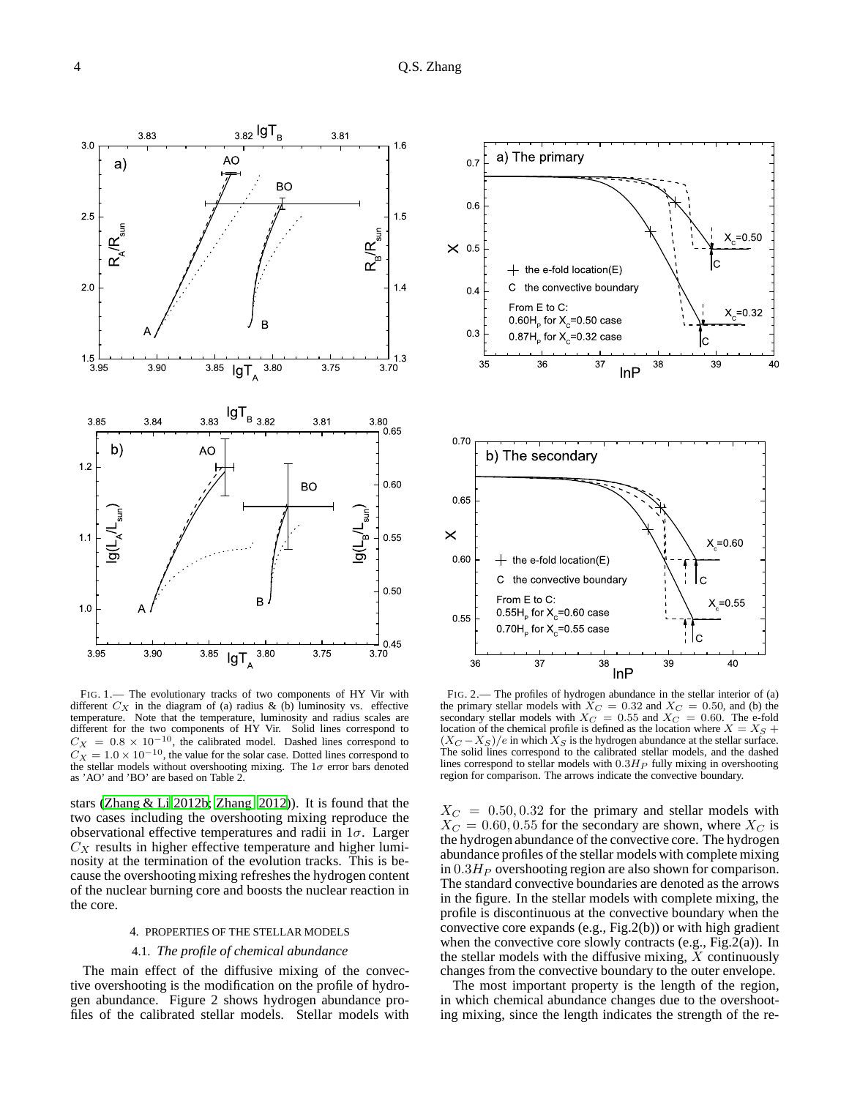

FIG. 1.— The evolutionary tracks of two components of HY Vir with different  $C_X$  in the diagram of (a) radius & (b) luminosity vs. effective temperature. Note that the temperature, luminosity and radius scales are different for the two components of HY Vir. Solid lines correspond to  $C_X = 0.8 \times 10^{-10}$ , the calibrated model. Dashed lines correspond to  $C_X = 1.0 \times 10^{-10}$ , the value for the solar case. Dotted lines correspond to the stellar models without overshooting mixing. The  $1\sigma$  error bars denoted as 'AO' and 'BO' are based on Table 2.

stars [\(Zhang & Li 2012b](#page-8-14); [Zhang 2012\)](#page-8-5)). It is found that the two cases including the overshooting mixing reproduce the observational effective temperatures and radii in  $1\sigma$ . Larger  $C_X$  results in higher effective temperature and higher luminosity at the termination of the evolution tracks. This is because the overshooting mixing refreshes the hydrogen content of the nuclear burning core and boosts the nuclear reaction in the core.

# 4. PROPERTIES OF THE STELLAR MODELS

## 4.1. *The profile of chemical abundance*

The main effect of the diffusive mixing of the convective overshooting is the modification on the profile of hydrogen abundance. Figure 2 shows hydrogen abundance profiles of the calibrated stellar models. Stellar models with



FIG. 2.— The profiles of hydrogen abundance in the stellar interior of (a) the primary stellar models with  $\bar{X}_C = 0.32$  and  $X_C = 0.50$ , and (b) the secondary stellar models with  $X_C = 0.55$  and  $X_C = 0.60$ . The e-fold location of the chemical profile is defined as the location where  $X = X<sub>S</sub> +$  $(X_C - X_S)/e$  in which  $X_S$  is the hydrogen abundance at the stellar surface. The solid lines correspond to the calibrated stellar models, and the dashed lines correspond to stellar models with  $0.3H<sub>P</sub>$  fully mixing in overshooting region for comparison. The arrows indicate the convective boundary.

 $X_C = 0.50, 0.32$  for the primary and stellar models with  $X_C = 0.60, 0.55$  for the secondary are shown, where  $X_C$  is the hydrogen abundance of the convective core. The hydrogen abundance profiles of the stellar models with complete mixing in  $0.3H<sub>P</sub>$  overshooting region are also shown for comparison. The standard convective boundaries are denoted as the arrows in the figure. In the stellar models with complete mixing, the profile is discontinuous at the convective boundary when the convective core expands (e.g., Fig.2(b)) or with high gradient when the convective core slowly contracts (e.g.,  $Fig.2(a)$ ). In the stellar models with the diffusive mixing,  $X$  continuously changes from the convective boundary to the outer envelope.

The most important property is the length of the region, in which chemical abundance changes due to the overshooting mixing, since the length indicates the strength of the re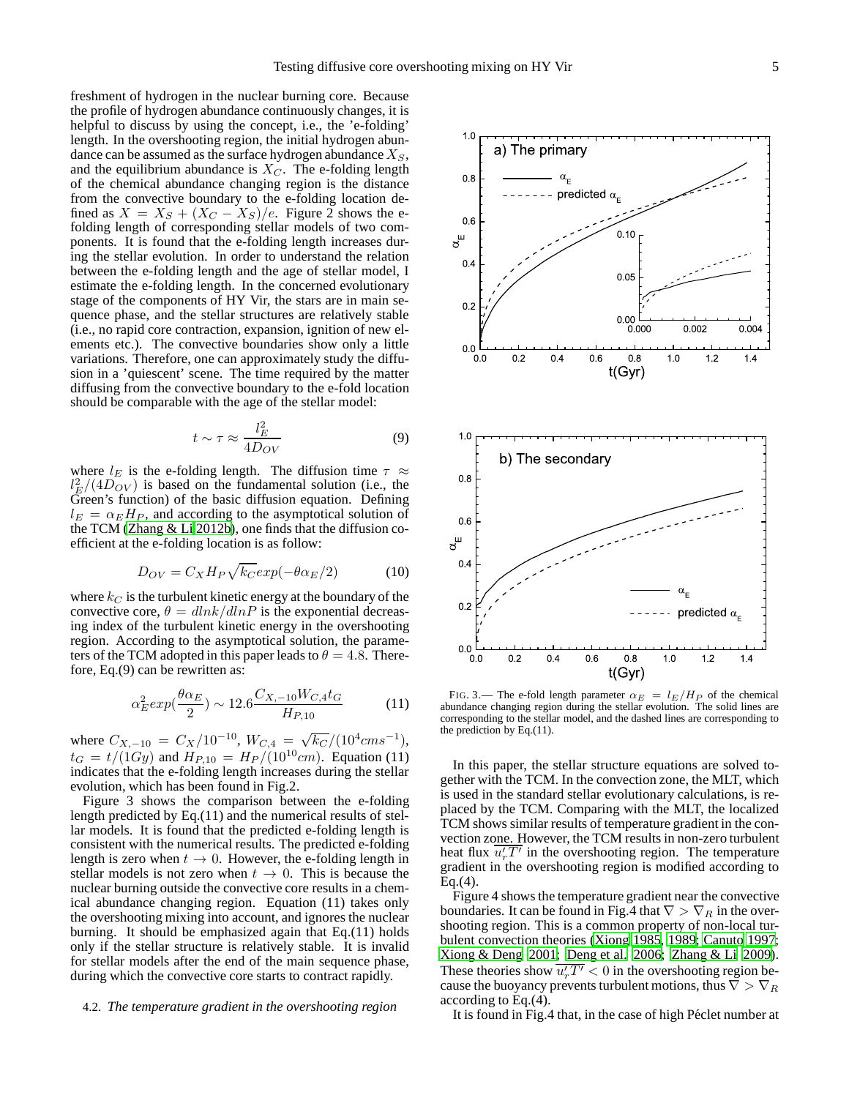freshment of hydrogen in the nuclear burning core. Because the profile of hydrogen abundance continuously changes, it is helpful to discuss by using the concept, i.e., the 'e-folding' length. In the overshooting region, the initial hydrogen abundance can be assumed as the surface hydrogen abundance  $X<sub>S</sub>$ , and the equilibrium abundance is  $X_C$ . The e-folding length of the chemical abundance changing region is the distance from the convective boundary to the e-folding location defined as  $X = X_S + (X_C - X_S)/e$ . Figure 2 shows the efolding length of corresponding stellar models of two components. It is found that the e-folding length increases during the stellar evolution. In order to understand the relation between the e-folding length and the age of stellar model, I estimate the e-folding length. In the concerned evolutionary stage of the components of HY Vir, the stars are in main sequence phase, and the stellar structures are relatively stable (i.e., no rapid core contraction, expansion, ignition of new elements etc.). The convective boundaries show only a little variations. Therefore, one can approximately study the diffusion in a 'quiescent' scene. The time required by the matter diffusing from the convective boundary to the e-fold location should be comparable with the age of the stellar model:

$$
t \sim \tau \approx \frac{l_E^2}{4D_{OV}}\tag{9}
$$

where  $l_E$  is the e-folding length. The diffusion time  $\tau \approx$  $l_E^2/(4D_{OV})$  is based on the fundamental solution (i.e., the Green's function) of the basic diffusion equation. Defining  $l_E = \alpha_E H_P$ , and according to the asymptotical solution of the TCM [\(Zhang & Li 2012b\)](#page-8-14), one finds that the diffusion coefficient at the e-folding location is as follow:

$$
D_{OV} = C_X H_P \sqrt{k_C} exp(-\theta \alpha_E/2)
$$
 (10)

where  $k_C$  is the turbulent kinetic energy at the boundary of the convective core,  $\theta = dlnk/dlnP$  is the exponential decreasing index of the turbulent kinetic energy in the overshooting region. According to the asymptotical solution, the parameters of the TCM adopted in this paper leads to  $\theta = 4.8$ . Therefore, Eq.(9) can be rewritten as:

$$
\alpha_E^2 \exp(\frac{\theta \alpha_E}{2}) \sim 12.6 \frac{C_{X, -10} W_{C, 4} t_G}{H_{P, 10}} \tag{11}
$$

where  $C_{X,-10} = C_X/10^{-10}$ ,  $W_{C,4} = \sqrt{k_C}/(10^4 \text{cm s}^{-1})$ ,  $t_G = t/(1Gy)$  and  $H_{P,10} = H_P/(10^{10}cm)$ . Equation (11) indicates that the e-folding length increases during the stellar evolution, which has been found in Fig.2.

Figure 3 shows the comparison between the e-folding length predicted by Eq.(11) and the numerical results of stellar models. It is found that the predicted e-folding length is consistent with the numerical results. The predicted e-folding length is zero when  $t \to 0$ . However, the e-folding length in stellar models is not zero when  $t \to 0$ . This is because the nuclear burning outside the convective core results in a chemical abundance changing region. Equation (11) takes only the overshooting mixing into account, and ignores the nuclear burning. It should be emphasized again that Eq.(11) holds only if the stellar structure is relatively stable. It is invalid for stellar models after the end of the main sequence phase, during which the convective core starts to contract rapidly.

## 4.2. *The temperature gradient in the overshooting region*



t(Gyr) FIG. 3.— The e-fold length parameter  $\alpha_E = l_E/H_P$  of the chemical abundance changing region during the stellar evolution. The solid lines are corresponding to the stellar model, and the dashed lines are corresponding to the prediction by Eq.(11).

0.0 0.2 0.4 0.6 0.8 1.0 1.2 1.4

 $0.0$ 

In this paper, the stellar structure equations are solved together with the TCM. In the convection zone, the MLT, which is used in the standard stellar evolutionary calculations, is replaced by the TCM. Comparing with the MLT, the localized TCM shows similar results of temperature gradient in the convection zone. However, the TCM results in non-zero turbulent heat flux  $\overline{u'_rT'}$  in the overshooting region. The temperature gradient in the overshooting region is modified according to  $Eq.(4)$ .

Figure 4 shows the temperature gradient near the convective boundaries. It can be found in Fig.4 that  $\nabla > \nabla_R$  in the overshooting region. This is a common property of non-local turbulent convection theories [\(Xiong 1985,](#page-8-1) [1989;](#page-8-2) [Canuto 1997](#page-7-1); [Xiong & Deng 2001;](#page-8-3) [Deng et al. 2006](#page-7-4); [Zhang & Li 2009](#page-8-15)). These theories show  $\overline{u'_rT'} < 0$  in the overshooting region because the buoyancy prevents turbulent motions, thus  $\nabla > \nabla_R$ according to Eq.(4).

It is found in Fig.4 that, in the case of high Péclet number at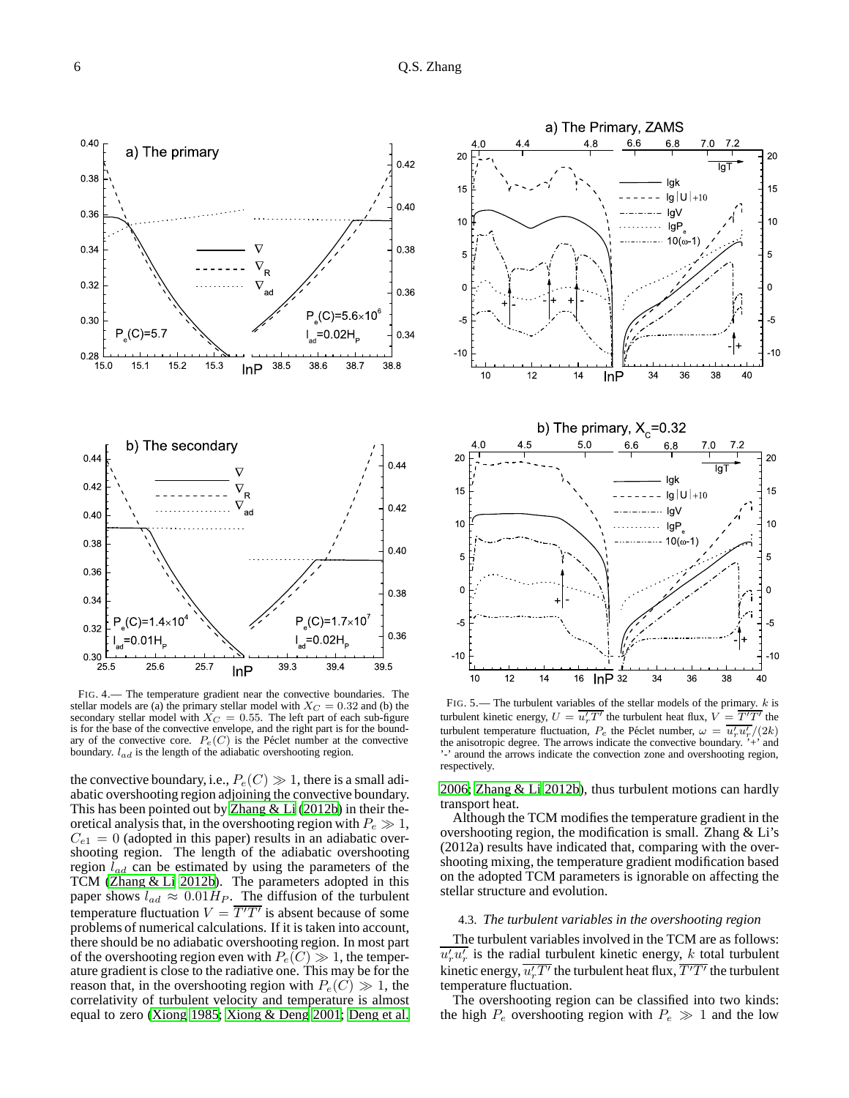

FIG. 4.— The temperature gradient near the convective boundaries. The stellar models are (a) the primary stellar model with  $X_C = 0.32$  and (b) the secondary stellar model with  $X_C = 0.55$ . The left part of each sub-figure is for the base of the convective envelope, and the right part is for the boundary of the convective core.  $P_e(C)$  is the Péclet number at the convective boundary.  $l_{ad}$  is the length of the adiabatic overshooting region.

the convective boundary, i.e.,  $P_e(C) \gg 1$ , there is a small adiabatic overshooting region adjoining the convective boundary. This has been pointed out by [Zhang & Li \(2012b\)](#page-8-14) in their theoretical analysis that, in the overshooting region with  $P_e \gg 1$ ,  $C_{e1} = 0$  (adopted in this paper) results in an adiabatic overshooting region. The length of the adiabatic overshooting region  $l_{ad}$  can be estimated by using the parameters of the TCM [\(Zhang & Li 2012b\)](#page-8-14). The parameters adopted in this paper shows  $l_{ad} \approx 0.01 H_P$ . The diffusion of the turbulent temperature fluctuation  $V = \overline{T'T'}$  is absent because of some problems of numerical calculations. If it is taken into account, there should be no adiabatic overshooting region. In most part of the overshooting region even with  $P_e(C) \gg 1$ , the temperature gradient is close to the radiative one. This may be for the reason that, in the overshooting region with  $P_e(C) \gg 1$ , the correlativity of turbulent velocity and temperature is almost equal to zero [\(Xiong 1985;](#page-8-1) [Xiong & Deng 2001;](#page-8-3) [Deng et al.](#page-7-4)



FIG. 5.— The turbulent variables of the stellar models of the primary.  $k$  is turbulent kinetic energy,  $U = \overline{u'_r T'}$  the turbulent heat flux,  $V = \overline{T'T'}$  the turbulent temperature fluctuation,  $P_e$  the Péclet number,  $\omega = \overline{u'_r u'_r}/(2k)$ the anisotropic degree. The arrows indicate the convective boundary. '+' and '-' around the arrows indicate the convection zone and overshooting region, respectively.

[2006;](#page-7-4) [Zhang & Li 2012b\)](#page-8-14), thus turbulent motions can hardly transport heat.

Although the TCM modifies the temperature gradient in the overshooting region, the modification is small. Zhang & Li's (2012a) results have indicated that, comparing with the overshooting mixing, the temperature gradient modification based on the adopted TCM parameters is ignorable on affecting the stellar structure and evolution.

## 4.3. *The turbulent variables in the overshooting region*

The turbulent variables involved in the TCM are as follows:  $\overline{u'_r u'_r}$  is the radial turbulent kinetic energy, k total turbulent kinetic energy,  $\overline{u'_rT'}$  the turbulent heat flux,  $\overline{T'T'}$  the turbulent temperature fluctuation.

The overshooting region can be classified into two kinds: the high  $P_e$  overshooting region with  $P_e \gg 1$  and the low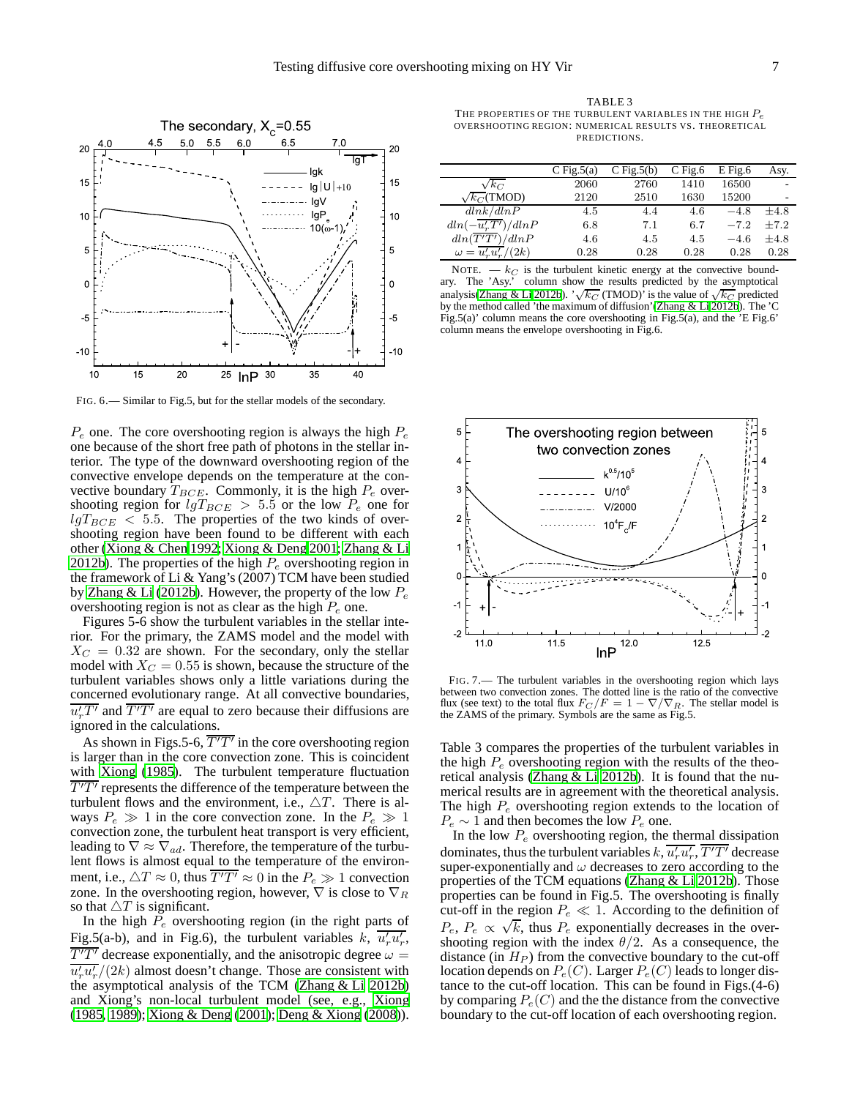

FIG. 6.— Similar to Fig.5, but for the stellar models of the secondary.

 $P_e$  one. The core overshooting region is always the high  $P_e$ one because of the short free path of photons in the stellar interior. The type of the downward overshooting region of the convective envelope depends on the temperature at the convective boundary  $T_{BCE}$ . Commonly, it is the high  $P_e$  overshooting region for  $lgT_{BCE} > 5.5$  or the low  $P_e$  one for  $lgT_{BCE}$  < 5.5. The properties of the two kinds of overshooting region have been found to be different with each other [\(Xiong & Chen 1992](#page-8-16); [Xiong & Deng 2001](#page-8-3); [Zhang & Li](#page-8-14) [2012b\)](#page-8-14). The properties of the high  $P_e$  overshooting region in the framework of Li & Yang's (2007) TCM have been studied by [Zhang & Li \(2012b\)](#page-8-14). However, the property of the low  $P_e$ overshooting region is not as clear as the high  $P_e$  one.

Figures 5-6 show the turbulent variables in the stellar interior. For the primary, the ZAMS model and the model with  $X_C = 0.32$  are shown. For the secondary, only the stellar model with  $X_C = 0.55$  is shown, because the structure of the turbulent variables shows only a little variations during the concerned evolutionary range. At all convective boundaries,  $\overline{u'_rT'}$  and  $\overline{T'T'}$  are equal to zero because their diffusions are ignored in the calculations.

As shown in Figs.5-6,  $\overline{T'T'}$  in the core overshooting region is larger than in the core convection zone. This is coincident with [Xiong](#page-8-1) [\(1985\)](#page-8-1). The turbulent temperature fluctuation  $\overline{T'T'}$  represents the difference of the temperature between the turbulent flows and the environment, i.e.,  $\triangle T$ . There is always  $P_e \gg 1$  in the core convection zone. In the  $P_e \gg 1$ convection zone, the turbulent heat transport is very efficient, leading to  $\nabla \approx \nabla_{ad}$ . Therefore, the temperature of the turbulent flows is almost equal to the temperature of the environment, i.e.,  $\Delta T \approx 0$ , thus  $\overline{T'T'} \approx 0$  in the  $P_e \gg 1$  convection zone. In the overshooting region, however,  $\nabla$  is close to  $\nabla_R$ so that  $\triangle T$  is significant.

In the high  $\overline{P}_e$  overshooting region (in the right parts of Fig.5(a-b), and in Fig.6), the turbulent variables  $k$ ,  $\overline{u'_r u'_r}$ ,  $\overline{T'T'}$  decrease exponentially, and the anisotropic degree  $\omega =$  $\overline{u'_r u'_r}/(2k)$  almost doesn't change. Those are consistent with the asymptotical analysis of the TCM [\(Zhang & Li 2012b\)](#page-8-14) and Xiong's non-local turbulent model (see, e.g., [Xiong](#page-8-1) [\(1985](#page-8-1), [1989\)](#page-8-2); [Xiong & Deng](#page-8-3) [\(2001\)](#page-8-3); [Deng & Xiong \(2008\)](#page-7-20)).

TABLE 3 THE PROPERTIES OF THE TURBULENT VARIABLES IN THE HIGH  $P_e$ OVERSHOOTING REGION: NUMERICAL RESULTS VS. THEORETICAL PREDICTIONS.

|                                | C Fig. $5(a)$ | $C$ Fig. $5(b)$ | $C$ Fig.6 | $E$ Fig.6 | Asy.   |
|--------------------------------|---------------|-----------------|-----------|-----------|--------|
| $\sqrt{k_C}$                   | 2060          | 2760            | 1410      | 16500     |        |
| $\sqrt{k_C}$ (TMOD)            | 2120          | 2510            | 1630      | 15200     |        |
| dlnk/dlnP                      | 4.5           | 4.4             | 4.6       | $-4.8$    | $+4.8$ |
| $dln(-\overline{u'_rT'})/dlnP$ | 6.8           | 7.1             | 6.7       | $-7.2$    | $+7.2$ |
| dln(T'T')/dlnP                 | 4.6           | 4.5             | 4.5       | $-4.6$    | $+4.8$ |
| $\omega = u'_r u'_r/(2k)$      | 0.28          | 0.28            | 0.28      | 0.28      | 0.28   |

NOTE.  $-k_C$  is the turbulent kinetic energy at the convective boundary. The 'Asy.' column show the results predicted by the asymptotical analysis[\(Zhang & Li 2012b](#page-8-14)). ' $\sqrt{k_C}$  (TMOD)' is the value of  $\sqrt{k_C}$  predicted by the method called 'the maximum of diffusion'[\(Zhang & Li 2012b](#page-8-14)). The 'C Fig.5(a)' column means the core overshooting in Fig.5(a), and the 'E Fig.6' column means the envelope overshooting in Fig.6.



FIG. 7.— The turbulent variables in the overshooting region which lays between two convection zones. The dotted line is the ratio of the convective flux (see text) to the total flux  $F_C/F = 1 - \nabla/\nabla_R$ . The stellar model is the ZAMS of the primary. Symbols are the same as Fig.5.

Table 3 compares the properties of the turbulent variables in the high  $P_e$  overshooting region with the results of the theoretical analysis (Zhang  $&$  Li 2012b). It is found that the numerical results are in agreement with the theoretical analysis. The high  $P_e$  overshooting region extends to the location of  $P_e \sim 1$  and then becomes the low  $P_e$  one.

In the low  $P_e$  overshooting region, the thermal dissipation dominates, thus the turbulent variables  $k$ ,  $\overline{u'_r u'_r}$ ,  $\overline{T' T'}$  decrease super-exponentially and  $\omega$  decreases to zero according to the properties of the TCM equations [\(Zhang & Li 2012b\)](#page-8-14). Those properties can be found in Fig.5. The overshooting is finally cut-off in the region  $P_e \ll 1$ . According to the definition of  $P_e$ ,  $P_e \propto \sqrt{k}$ , thus  $P_e$  exponentially decreases in the overshooting region with the index  $\theta/2$ . As a consequence, the distance (in  $H_P$ ) from the convective boundary to the cut-off location depends on  $P_e(C)$ . Larger  $P_e(C)$  leads to longer distance to the cut-off location. This can be found in Figs.(4-6) by comparing  $P_e(C)$  and the the distance from the convective boundary to the cut-off location of each overshooting region.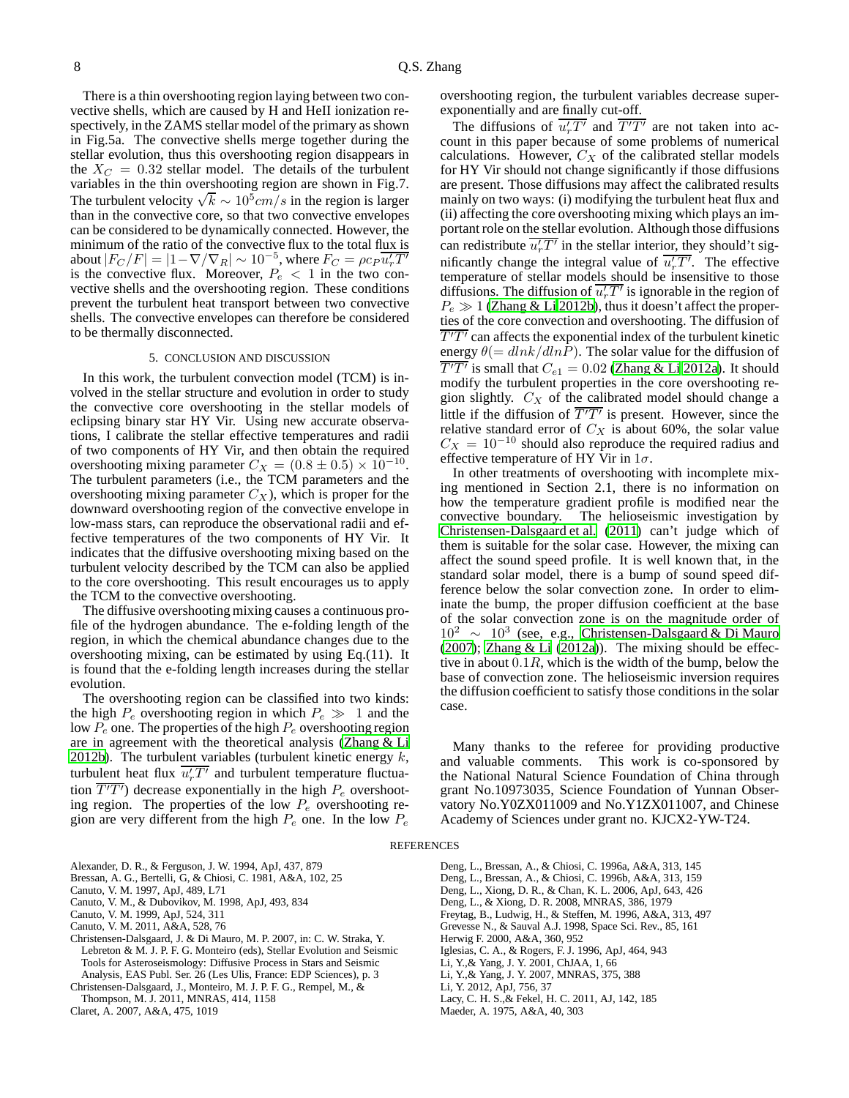There is a thin overshooting region laying between two convective shells, which are caused by H and HeII ionization respectively, in the ZAMS stellar model of the primary as shown in Fig.5a. The convective shells merge together during the stellar evolution, thus this overshooting region disappears in the  $X_C = 0.32$  stellar model. The details of the turbulent variables in the thin overshooting region are shown in Fig.7. The turbulent velocity  $\sqrt{k} \sim 10^5 cm/s$  in the region is larger than in the convective core, so that two convective envelopes can be considered to be dynamically connected. However, the minimum of the ratio of the convective flux to the total flux is about  $|F_C/F| = |1 - \nabla / \nabla_R| \sim 10^{-5}$ , where  $F_C = \rho c_P \overline{u'_r T'}$ is the convective flux. Moreover,  $P_e < 1$  in the two convective shells and the overshooting region. These conditions prevent the turbulent heat transport between two convective shells. The convective envelopes can therefore be considered to be thermally disconnected.

## 5. CONCLUSION AND DISCUSSION

In this work, the turbulent convection model (TCM) is involved in the stellar structure and evolution in order to study the convective core overshooting in the stellar models of eclipsing binary star HY Vir. Using new accurate observations, I calibrate the stellar effective temperatures and radii of two components of HY Vir, and then obtain the required overshooting mixing parameter  $C_X = (0.8 \pm 0.5) \times 10^{-10}$ . The turbulent parameters (i.e., the TCM parameters and the overshooting mixing parameter  $C_X$ ), which is proper for the downward overshooting region of the convective envelope in low-mass stars, can reproduce the observational radii and effective temperatures of the two components of HY Vir. It indicates that the diffusive overshooting mixing based on the turbulent velocity described by the TCM can also be applied to the core overshooting. This result encourages us to apply the TCM to the convective overshooting.

The diffusive overshooting mixing causes a continuous profile of the hydrogen abundance. The e-folding length of the region, in which the chemical abundance changes due to the overshooting mixing, can be estimated by using Eq.(11). It is found that the e-folding length increases during the stellar evolution.

The overshooting region can be classified into two kinds: the high  $P_e$  overshooting region in which  $P_e \gg 1$  and the low  $P_e$  one. The properties of the high  $P_e$  overshooting region are in agreement with the theoretical analysis [\(Zhang & Li](#page-8-14) [2012b\)](#page-8-14). The turbulent variables (turbulent kinetic energy  $k$ , turbulent heat flux  $\overline{u_r' T'}$  and turbulent temperature fluctuation  $\overline{T'T'}$ ) decrease exponentially in the high  $P_e$  overshooting region. The properties of the low  $P_e$  overshooting region are very different from the high  $P_e$  one. In the low  $P_e$ 

- <span id="page-7-18"></span>Alexander, D. R., & Ferguson, J. W. 1994, ApJ, 437, 879
- <span id="page-7-11"></span>Bressan, A. G., Bertelli, G, & Chiosi, C. 1981, A&A, 102, 25
- <span id="page-7-1"></span>Canuto, V. M. 1997, ApJ, 489, L71
- <span id="page-7-2"></span>Canuto, V. M., & Dubovikov, M. 1998, ApJ, 493, 834
- <span id="page-7-12"></span>Canuto, V. M. 1999, ApJ, 524, 311
- <span id="page-7-6"></span>Canuto, V. M. 2011, A&A, 528, 76
- <span id="page-7-21"></span>Christensen-Dalsgaard, J. & Di Mauro, M. P. 2007, in: C. W. Straka, Y. Lebreton & M. J. P. F. G. Monteiro (eds), Stellar Evolution and Seismic Tools for Asteroseismology: Diffusive Process in Stars and Seismic Analysis, EAS Publ. Ser. 26 (Les Ulis, France: EDP Sciences), p. 3

<span id="page-7-0"></span>Christensen-Dalsgaard, J., Monteiro, M. J. P. F. G., Rempel, M., &

Thompson, M. J. 2011, MNRAS, 414, 1158

<span id="page-7-8"></span>Claret, A. 2007, A&A, 475, 1019

overshooting region, the turbulent variables decrease superexponentially and are finally cut-off.

The diffusions of  $\overline{u'_rT'}$  and  $\overline{T'T'}$  are not taken into account in this paper because of some problems of numerical calculations. However,  $C_X$  of the calibrated stellar models for HY Vir should not change significantly if those diffusions are present. Those diffusions may affect the calibrated results mainly on two ways: (i) modifying the turbulent heat flux and (ii) affecting the core overshooting mixing which plays an important role on the stellar evolution. Although those diffusions can redistribute  $\overline{u'_rT'}$  in the stellar interior, they should't sigmificantly change the integral value of  $\overline{u_r' T'}$ . The effective temperature of stellar models should be insensitive to those diffusions. The diffusion of  $\overline{u'_rT'}$  is ignorable in the region of  $P_e \gg 1$  [\(Zhang & Li 2012b\)](#page-8-14), thus it doesn't affect the properties of the core convection and overshooting. The diffusion of  $\overline{T'T'}$  can affects the exponential index of the turbulent kinetic energy  $\theta (= dlnk/dln\overline{P})$ . The solar value for the diffusion of  $\overline{T'T'}$  is small that  $C_{e1}=0.02$  [\(Zhang & Li 2012a\)](#page-8-4). It should modify the turbulent properties in the core overshooting region slightly.  $C_X$  of the calibrated model should change a little if the diffusion of  $\overline{T'T'}$  is present. However, since the relative standard error of  $C_X$  is about 60%, the solar value  $C_X = 10^{-10}$  should also reproduce the required radius and effective temperature of HY Vir in  $1\sigma$ .

In other treatments of overshooting with incomplete mixing mentioned in Section 2.1, there is no information on how the temperature gradient profile is modified near the convective boundary. The helioseismic investigation by [Christensen-Dalsgaard et al.](#page-7-0) [\(2011\)](#page-7-0) can't judge which of them is suitable for the solar case. However, the mixing can affect the sound speed profile. It is well known that, in the standard solar model, there is a bump of sound speed difference below the solar convection zone. In order to eliminate the bump, the proper diffusion coefficient at the base of the solar convection zone is on the magnitude order of  $10^2 \sim 10^3$  (see, e.g., [Christensen-Dalsgaard & Di Mauro](#page-7-21) [\(2007\)](#page-7-21); [Zhang & Li](#page-8-4) [\(2012a\)](#page-8-4)). The mixing should be effective in about  $0.1R$ , which is the width of the bump, below the base of convection zone. The helioseismic inversion requires the diffusion coefficient to satisfy those conditions in the solar case.

Many thanks to the referee for providing productive and valuable comments. This work is co-sponsored by the National Natural Science Foundation of China through grant No.10973035, Science Foundation of Yunnan Observatory No.Y0ZX011009 and No.Y1ZX011007, and Chinese Academy of Sciences under grant no. KJCX2-YW-T24.

REFERENCES

<span id="page-7-20"></span><span id="page-7-19"></span><span id="page-7-15"></span><span id="page-7-14"></span><span id="page-7-13"></span><span id="page-7-4"></span>Deng, L., Bressan, A., & Chiosi, C. 1996a, A&A, 313, 145 Deng, L., Bressan, A., & Chiosi, C. 1996b, A&A, 313, 159 Deng, L., Xiong, D. R., & Chan, K. L. 2006, ApJ, 643, 426 Deng, L., & Xiong, D. R. 2008, MNRAS, 386, 1979 Freytag, B., Ludwig, H., & Steffen, M. 1996, A&A, 313, 497 Grevesse N., & Sauval A.J. 1998, Space Sci. Rev., 85, 161 Herwig F. 2000, A&A, 360, 952 Iglesias, C. A., & Rogers, F. J. 1996, ApJ, 464, 943 Li, Y.,& Yang, J. Y. 2001, ChJAA, 1, 66 Li, Y.,& Yang, J. Y. 2007, MNRAS, 375, 388 Li, Y. 2012, ApJ, 756, 37 Lacy, C. H. S.,& Fekel, H. C. 2011, AJ, 142, 185

<span id="page-7-17"></span><span id="page-7-16"></span><span id="page-7-10"></span><span id="page-7-9"></span><span id="page-7-7"></span><span id="page-7-5"></span><span id="page-7-3"></span>Maeder, A. 1975, A&A, 40, 303